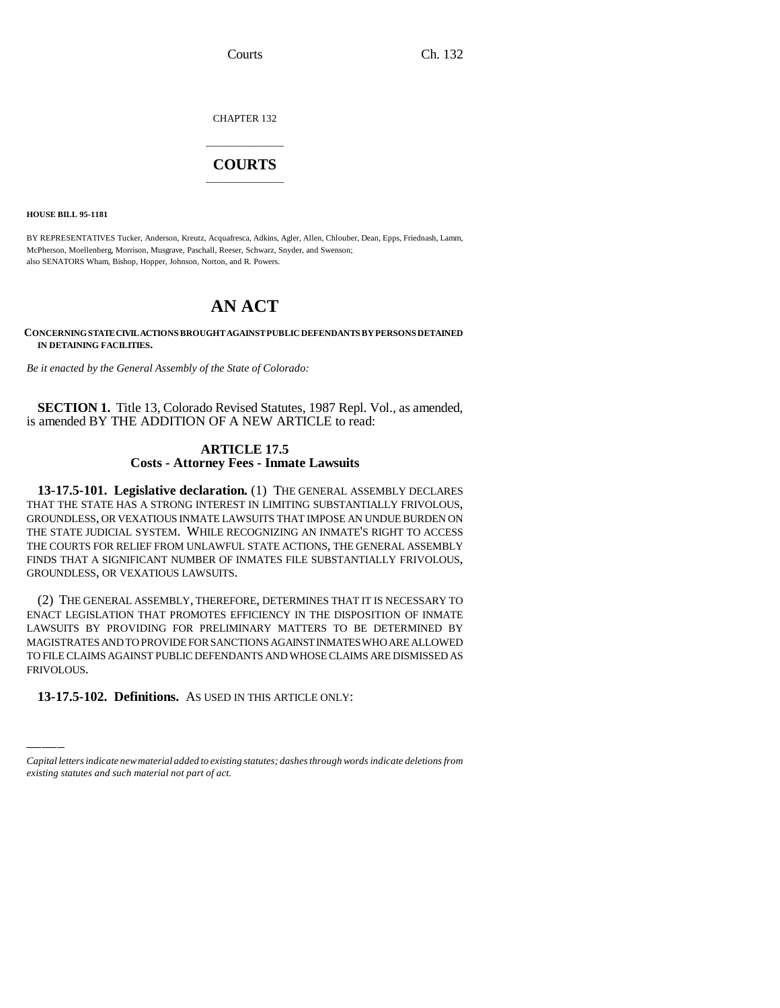CHAPTER 132

## \_\_\_\_\_\_\_\_\_\_\_\_\_\_\_ **COURTS** \_\_\_\_\_\_\_\_\_\_\_\_\_\_\_

**HOUSE BILL 95-1181**

BY REPRESENTATIVES Tucker, Anderson, Kreutz, Acquafresca, Adkins, Agler, Allen, Chlouber, Dean, Epps, Friednash, Lamm, McPherson, Moellenberg, Morrison, Musgrave, Paschall, Reeser, Schwarz, Snyder, and Swenson; also SENATORS Wham, Bishop, Hopper, Johnson, Norton, and R. Powers.

# **AN ACT**

**CONCERNING STATE CIVIL ACTIONS BROUGHT AGAINST PUBLIC DEFENDANTS BY PERSONS DETAINED IN DETAINING FACILITIES.**

*Be it enacted by the General Assembly of the State of Colorado:*

**SECTION 1.** Title 13, Colorado Revised Statutes, 1987 Repl. Vol., as amended, is amended BY THE ADDITION OF A NEW ARTICLE to read:

### **ARTICLE 17.5 Costs - Attorney Fees - Inmate Lawsuits**

**13-17.5-101. Legislative declaration.** (1) THE GENERAL ASSEMBLY DECLARES THAT THE STATE HAS A STRONG INTEREST IN LIMITING SUBSTANTIALLY FRIVOLOUS, GROUNDLESS, OR VEXATIOUS INMATE LAWSUITS THAT IMPOSE AN UNDUE BURDEN ON THE STATE JUDICIAL SYSTEM. WHILE RECOGNIZING AN INMATE'S RIGHT TO ACCESS THE COURTS FOR RELIEF FROM UNLAWFUL STATE ACTIONS, THE GENERAL ASSEMBLY FINDS THAT A SIGNIFICANT NUMBER OF INMATES FILE SUBSTANTIALLY FRIVOLOUS, GROUNDLESS, OR VEXATIOUS LAWSUITS.

TO FILE CLAIMS AGAINST PUBLIC DEFENDANTS AND WHOSE CLAIMS ARE DISMISSED AS (2) THE GENERAL ASSEMBLY, THEREFORE, DETERMINES THAT IT IS NECESSARY TO ENACT LEGISLATION THAT PROMOTES EFFICIENCY IN THE DISPOSITION OF INMATE LAWSUITS BY PROVIDING FOR PRELIMINARY MATTERS TO BE DETERMINED BY MAGISTRATES AND TO PROVIDE FOR SANCTIONS AGAINST INMATES WHO ARE ALLOWED FRIVOLOUS.

**13-17.5-102. Definitions.** AS USED IN THIS ARTICLE ONLY:

*Capital letters indicate new material added to existing statutes; dashes through words indicate deletions from existing statutes and such material not part of act.*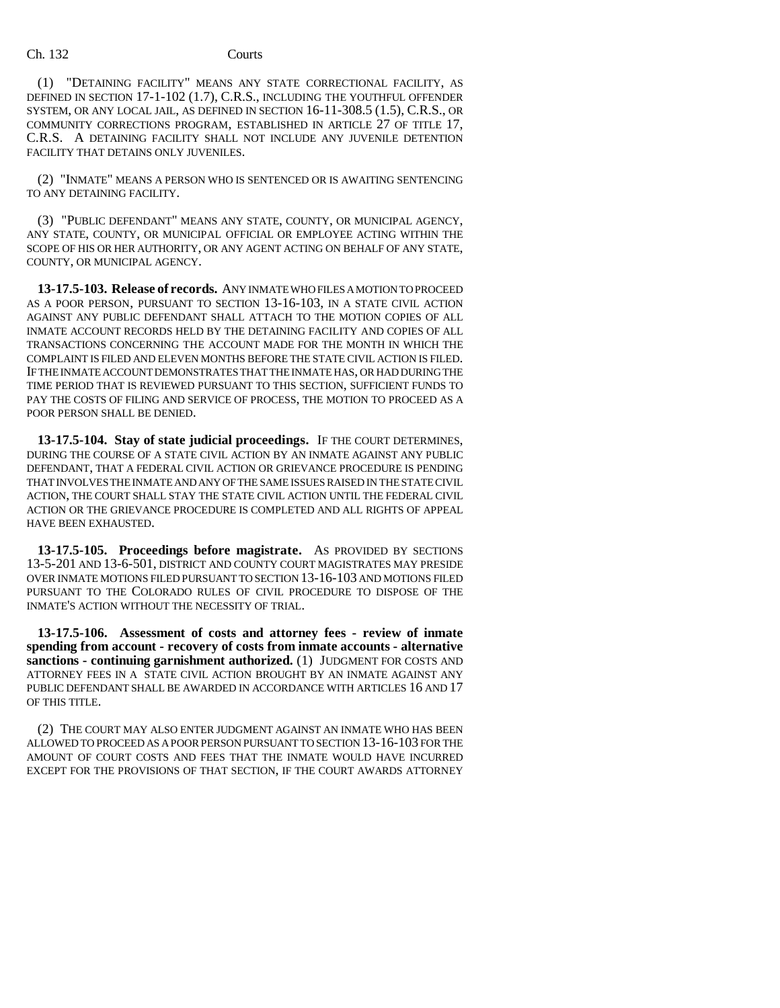#### Ch. 132 Courts

(1) "DETAINING FACILITY" MEANS ANY STATE CORRECTIONAL FACILITY, AS DEFINED IN SECTION 17-1-102 (1.7), C.R.S., INCLUDING THE YOUTHFUL OFFENDER SYSTEM, OR ANY LOCAL JAIL, AS DEFINED IN SECTION 16-11-308.5 (1.5), C.R.S., OR COMMUNITY CORRECTIONS PROGRAM, ESTABLISHED IN ARTICLE 27 OF TITLE 17, C.R.S. A DETAINING FACILITY SHALL NOT INCLUDE ANY JUVENILE DETENTION FACILITY THAT DETAINS ONLY JUVENILES.

(2) "INMATE" MEANS A PERSON WHO IS SENTENCED OR IS AWAITING SENTENCING TO ANY DETAINING FACILITY.

(3) "PUBLIC DEFENDANT" MEANS ANY STATE, COUNTY, OR MUNICIPAL AGENCY, ANY STATE, COUNTY, OR MUNICIPAL OFFICIAL OR EMPLOYEE ACTING WITHIN THE SCOPE OF HIS OR HER AUTHORITY, OR ANY AGENT ACTING ON BEHALF OF ANY STATE, COUNTY, OR MUNICIPAL AGENCY.

**13-17.5-103. Release of records.** ANY INMATE WHO FILES A MOTION TO PROCEED AS A POOR PERSON, PURSUANT TO SECTION 13-16-103, IN A STATE CIVIL ACTION AGAINST ANY PUBLIC DEFENDANT SHALL ATTACH TO THE MOTION COPIES OF ALL INMATE ACCOUNT RECORDS HELD BY THE DETAINING FACILITY AND COPIES OF ALL TRANSACTIONS CONCERNING THE ACCOUNT MADE FOR THE MONTH IN WHICH THE COMPLAINT IS FILED AND ELEVEN MONTHS BEFORE THE STATE CIVIL ACTION IS FILED. IF THE INMATE ACCOUNT DEMONSTRATES THAT THE INMATE HAS, OR HAD DURING THE TIME PERIOD THAT IS REVIEWED PURSUANT TO THIS SECTION, SUFFICIENT FUNDS TO PAY THE COSTS OF FILING AND SERVICE OF PROCESS, THE MOTION TO PROCEED AS A POOR PERSON SHALL BE DENIED.

**13-17.5-104. Stay of state judicial proceedings.** IF THE COURT DETERMINES, DURING THE COURSE OF A STATE CIVIL ACTION BY AN INMATE AGAINST ANY PUBLIC DEFENDANT, THAT A FEDERAL CIVIL ACTION OR GRIEVANCE PROCEDURE IS PENDING THAT INVOLVES THE INMATE AND ANY OF THE SAME ISSUES RAISED IN THE STATE CIVIL ACTION, THE COURT SHALL STAY THE STATE CIVIL ACTION UNTIL THE FEDERAL CIVIL ACTION OR THE GRIEVANCE PROCEDURE IS COMPLETED AND ALL RIGHTS OF APPEAL HAVE BEEN EXHAUSTED.

**13-17.5-105. Proceedings before magistrate.** AS PROVIDED BY SECTIONS 13-5-201 AND 13-6-501, DISTRICT AND COUNTY COURT MAGISTRATES MAY PRESIDE OVER INMATE MOTIONS FILED PURSUANT TO SECTION 13-16-103 AND MOTIONS FILED PURSUANT TO THE COLORADO RULES OF CIVIL PROCEDURE TO DISPOSE OF THE INMATE'S ACTION WITHOUT THE NECESSITY OF TRIAL.

**13-17.5-106. Assessment of costs and attorney fees - review of inmate spending from account - recovery of costs from inmate accounts - alternative sanctions - continuing garnishment authorized.** (1) JUDGMENT FOR COSTS AND ATTORNEY FEES IN A STATE CIVIL ACTION BROUGHT BY AN INMATE AGAINST ANY PUBLIC DEFENDANT SHALL BE AWARDED IN ACCORDANCE WITH ARTICLES 16 AND 17 OF THIS TITLE.

(2) THE COURT MAY ALSO ENTER JUDGMENT AGAINST AN INMATE WHO HAS BEEN ALLOWED TO PROCEED AS A POOR PERSON PURSUANT TO SECTION 13-16-103 FOR THE AMOUNT OF COURT COSTS AND FEES THAT THE INMATE WOULD HAVE INCURRED EXCEPT FOR THE PROVISIONS OF THAT SECTION, IF THE COURT AWARDS ATTORNEY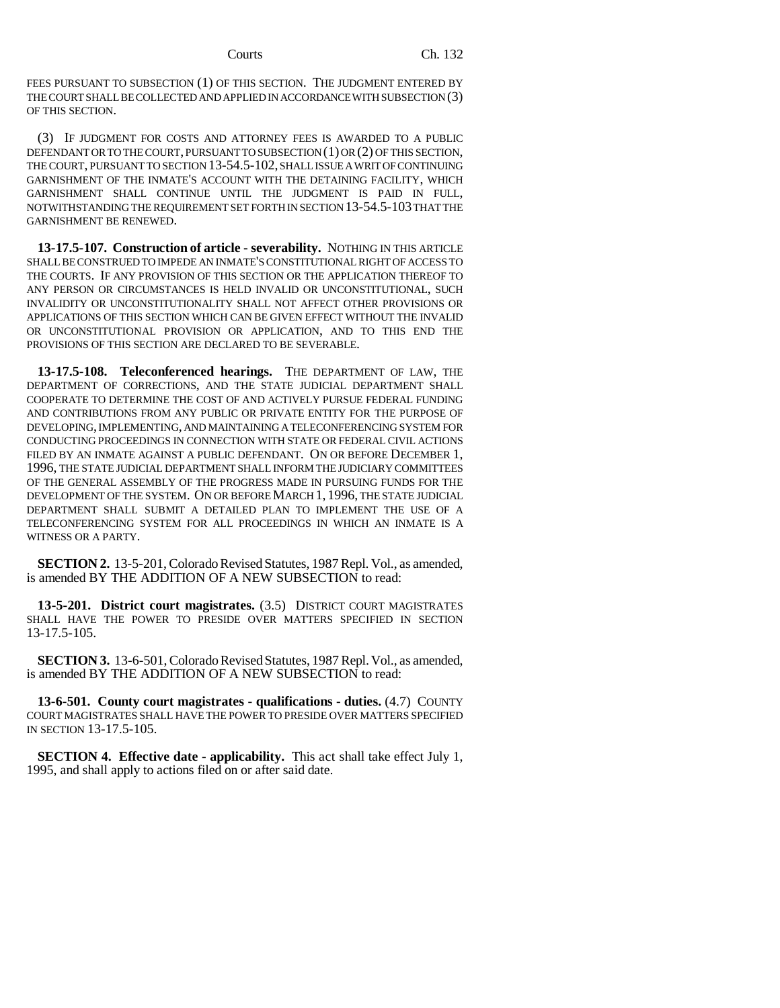FEES PURSUANT TO SUBSECTION (1) OF THIS SECTION. THE JUDGMENT ENTERED BY THE COURT SHALL BE COLLECTED AND APPLIED IN ACCORDANCE WITH SUBSECTION (3) OF THIS SECTION.

(3) IF JUDGMENT FOR COSTS AND ATTORNEY FEES IS AWARDED TO A PUBLIC DEFENDANT OR TO THE COURT, PURSUANT TO SUBSECTION (1) OR (2) OF THIS SECTION, THE COURT, PURSUANT TO SECTION 13-54.5-102, SHALL ISSUE A WRIT OF CONTINUING GARNISHMENT OF THE INMATE'S ACCOUNT WITH THE DETAINING FACILITY, WHICH GARNISHMENT SHALL CONTINUE UNTIL THE JUDGMENT IS PAID IN FULL, NOTWITHSTANDING THE REQUIREMENT SET FORTH IN SECTION 13-54.5-103 THAT THE GARNISHMENT BE RENEWED.

**13-17.5-107. Construction of article - severability.** NOTHING IN THIS ARTICLE SHALL BE CONSTRUED TO IMPEDE AN INMATE'S CONSTITUTIONAL RIGHT OF ACCESS TO THE COURTS. IF ANY PROVISION OF THIS SECTION OR THE APPLICATION THEREOF TO ANY PERSON OR CIRCUMSTANCES IS HELD INVALID OR UNCONSTITUTIONAL, SUCH INVALIDITY OR UNCONSTITUTIONALITY SHALL NOT AFFECT OTHER PROVISIONS OR APPLICATIONS OF THIS SECTION WHICH CAN BE GIVEN EFFECT WITHOUT THE INVALID OR UNCONSTITUTIONAL PROVISION OR APPLICATION, AND TO THIS END THE PROVISIONS OF THIS SECTION ARE DECLARED TO BE SEVERABLE.

**13-17.5-108. Teleconferenced hearings.** THE DEPARTMENT OF LAW, THE DEPARTMENT OF CORRECTIONS, AND THE STATE JUDICIAL DEPARTMENT SHALL COOPERATE TO DETERMINE THE COST OF AND ACTIVELY PURSUE FEDERAL FUNDING AND CONTRIBUTIONS FROM ANY PUBLIC OR PRIVATE ENTITY FOR THE PURPOSE OF DEVELOPING, IMPLEMENTING, AND MAINTAINING A TELECONFERENCING SYSTEM FOR CONDUCTING PROCEEDINGS IN CONNECTION WITH STATE OR FEDERAL CIVIL ACTIONS FILED BY AN INMATE AGAINST A PUBLIC DEFENDANT. ON OR BEFORE DECEMBER 1, 1996, THE STATE JUDICIAL DEPARTMENT SHALL INFORM THE JUDICIARY COMMITTEES OF THE GENERAL ASSEMBLY OF THE PROGRESS MADE IN PURSUING FUNDS FOR THE DEVELOPMENT OF THE SYSTEM. ON OR BEFORE MARCH 1, 1996, THE STATE JUDICIAL DEPARTMENT SHALL SUBMIT A DETAILED PLAN TO IMPLEMENT THE USE OF A TELECONFERENCING SYSTEM FOR ALL PROCEEDINGS IN WHICH AN INMATE IS A WITNESS OR A PARTY.

**SECTION 2.** 13-5-201, Colorado Revised Statutes, 1987 Repl. Vol., as amended, is amended BY THE ADDITION OF A NEW SUBSECTION to read:

**13-5-201. District court magistrates.** (3.5) DISTRICT COURT MAGISTRATES SHALL HAVE THE POWER TO PRESIDE OVER MATTERS SPECIFIED IN SECTION 13-17.5-105.

**SECTION 3.** 13-6-501, Colorado Revised Statutes, 1987 Repl. Vol., as amended, is amended BY THE ADDITION OF A NEW SUBSECTION to read:

**13-6-501. County court magistrates - qualifications - duties.** (4.7) COUNTY COURT MAGISTRATES SHALL HAVE THE POWER TO PRESIDE OVER MATTERS SPECIFIED IN SECTION 13-17.5-105.

**SECTION 4. Effective date - applicability.** This act shall take effect July 1, 1995, and shall apply to actions filed on or after said date.